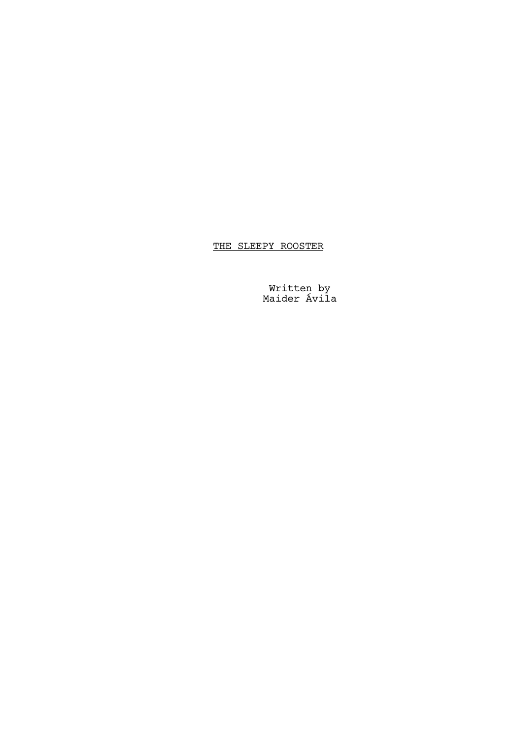THE SLEEPY ROOSTER

Written by Maider Ávila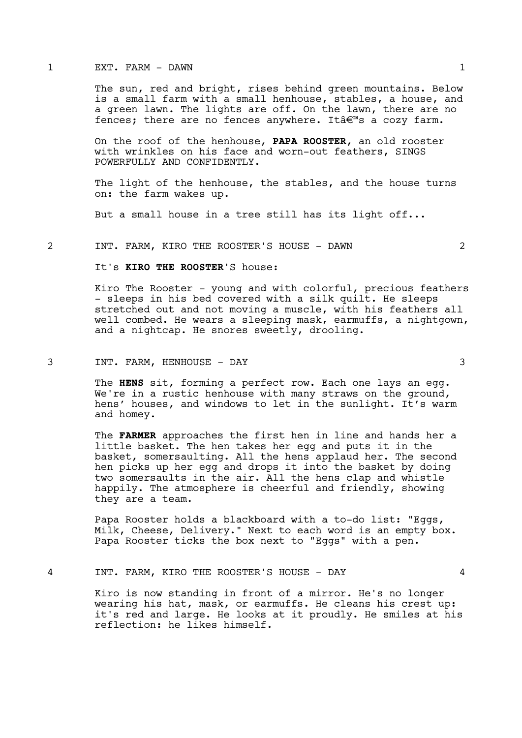#### 1 EXT. FARM - DAWN 1

The sun, red and bright, rises behind green mountains. Below is a small farm with a small henhouse, stables, a house, and a green lawn. The lights are off. On the lawn, there are no fences; there are no fences anywhere. It $\hat{\mathbf{a}} \in \mathbb{R}^m$ s a cozy farm.

On the roof of the henhouse, PAPA ROOSTER, an old rooster with wrinkles on his face and worn-out feathers, SINGS POWERFULLY AND CONFIDENTLY.

The light of the henhouse, the stables, and the house turns on: the farm wakes up.

But a small house in a tree still has its light off...

#### 2 INT. FARM, KIRO THE ROOSTER'S HOUSE - DAWN 2

# It's KIRO THE ROOSTER'S house:

Kiro The Rooster - young and with colorful, precious feathers - sleeps in his bed covered with a silk quilt. He sleeps stretched out and not moving a muscle, with his feathers all well combed. He wears a sleeping mask, earmuffs, a nightgown, and a nightcap. He snores sweetly, drooling.

## 3 INT. FARM, HENHOUSE - DAY 3

The HENS sit, forming a perfect row. Each one lays an egg. We're in a rustic henhouse with many straws on the ground, hens' houses, and windows to let in the sunlight. It's warm and homey.

The FARMER approaches the first hen in line and hands her a little basket. The hen takes her egg and puts it in the basket, somersaulting. All the hens applaud her. The second hen picks up her egg and drops it into the basket by doing two somersaults in the air. All the hens clap and whistle happily. The atmosphere is cheerful and friendly, showing they are a team.

Papa Rooster holds a blackboard with a to-do list: "Eggs, Milk, Cheese, Delivery." Next to each word is an empty box. Papa Rooster ticks the box next to "Eggs" with a pen.

#### 4 INT. FARM, KIRO THE ROOSTER'S HOUSE - DAY 4

Kiro is now standing in front of a mirror. He's no longer wearing his hat, mask, or earmuffs. He cleans his crest up: it's red and large. He looks at it proudly. He smiles at his reflection: he likes himself.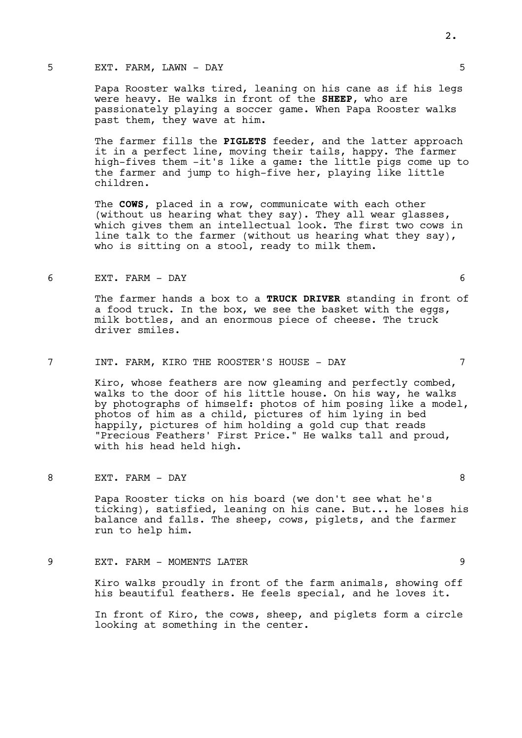## 5 EXT. FARM, LAWN – DAY

Papa Rooster walks tired, leaning on his cane as if his legs were heavy. He walks in front of the SHEEP, who are passionately playing a soccer game. When Papa Rooster walks past them, they wave at him.

The farmer fills the PIGLETS feeder, and the latter approach it in a perfect line, moving their tails, happy. The farmer high-fives them -it's like a game: the little pigs come up to the farmer and jump to high-five her, playing like little children.

The COWS, placed in a row, communicate with each other (without us hearing what they say). They all wear glasses, which gives them an intellectual look. The first two cows in line talk to the farmer (without us hearing what they say), who is sitting on a stool, ready to milk them.

#### 6 EXT. FARM - DAY 6

The farmer hands a box to a TRUCK DRIVER standing in front of a food truck. In the box, we see the basket with the eggs, milk bottles, and an enormous piece of cheese. The truck driver smiles.

## 7 INT. FARM, KIRO THE ROOSTER'S HOUSE - DAY 7

Kiro, whose feathers are now gleaming and perfectly combed, walks to the door of his little house. On his way, he walks by photographs of himself: photos of him posing like a model, photos of him as a child, pictures of him lying in bed happily, pictures of him holding a gold cup that reads "Precious Feathers' First Price." He walks tall and proud, with his head held high.

# 8 EXT. FARM – DAY 8

Papa Rooster ticks on his board (we don't see what he's ticking), satisfied, leaning on his cane. But... he loses his balance and falls. The sheep, cows, piglets, and the farmer run to help him.

## 9 EXT. FARM - MOMENTS LATER 9

Kiro walks proudly in front of the farm animals, showing off his beautiful feathers. He feels special, and he loves it.

In front of Kiro, the cows, sheep, and piglets form a circle looking at something in the center.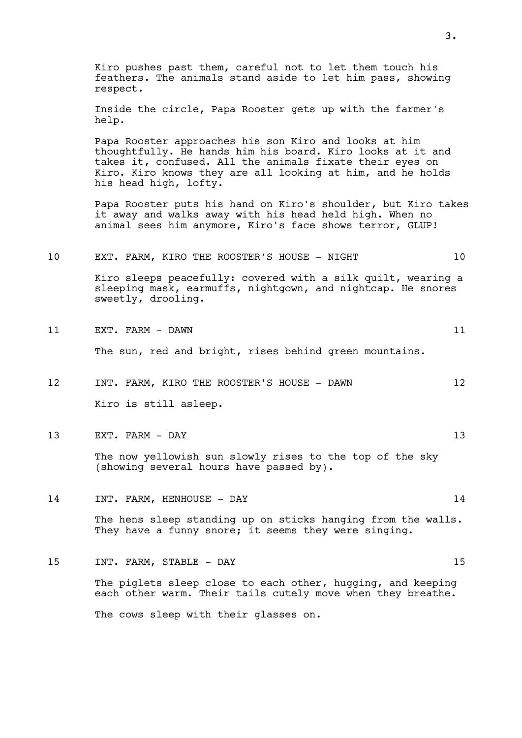Kiro pushes past them, careful not to let them touch his feathers. The animals stand aside to let him pass, showing respect.

Inside the circle, Papa Rooster gets up with the farmer's help.

Papa Rooster approaches his son Kiro and looks at him thoughtfully. He hands him his board. Kiro looks at it and takes it, confused. All the animals fixate their eyes on Kiro. Kiro knows they are all looking at him, and he holds his head high, lofty.

Papa Rooster puts his hand on Kiro's shoulder, but Kiro takes it away and walks away with his head held high. When no animal sees him anymore, Kiro's face shows terror, GLUP!

## 10 EXT. FARM, KIRO THE ROOSTER'S HOUSE - NIGHT 10

Kiro sleeps peacefully: covered with a silk quilt, wearing a sleeping mask, earmuffs, nightgown, and nightcap. He snores sweetly, drooling.

11 EXT. FARM - DAWN 11

The sun, red and bright, rises behind green mountains.

- 12 INT. FARM, KIRO THE ROOSTER'S HOUSE DAWN 12 Kiro is still asleep.
- 13 EXT. FARM DAY 13

The now yellowish sun slowly rises to the top of the sky (showing several hours have passed by).

14 INT. FARM, HENHOUSE - DAY 14

The hens sleep standing up on sticks hanging from the walls. They have a funny snore; it seems they were singing.

15 INT. FARM, STABLE - DAY 15

The piglets sleep close to each other, hugging, and keeping each other warm. Their tails cutely move when they breathe.

The cows sleep with their glasses on.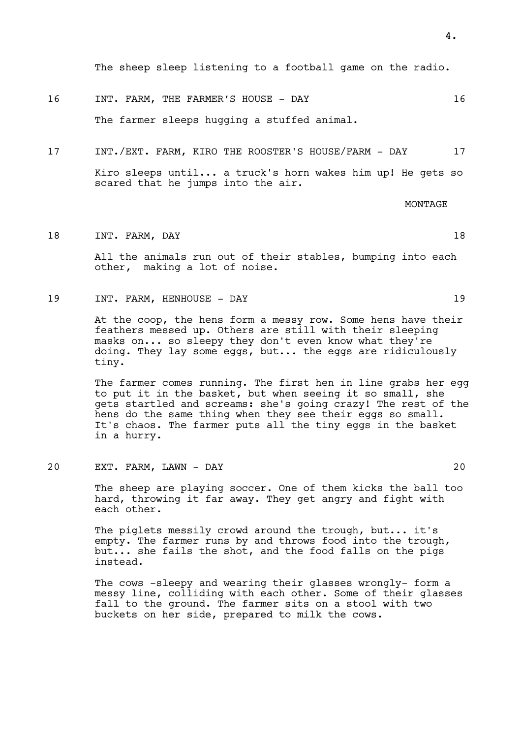The sheep sleep listening to a football game on the radio.

- 16 INT. FARM, THE FARMER'S HOUSE DAY 16 The farmer sleeps hugging a stuffed animal.
- 17 INT./EXT. FARM, KIRO THE ROOSTER'S HOUSE/FARM DAY 17

Kiro sleeps until... a truck's horn wakes him up! He gets so scared that he jumps into the air.

MONTAGE

18 INT. FARM, DAY 18

All the animals run out of their stables, bumping into each other, making a lot of noise.

19 INT. FARM, HENHOUSE - DAY 19

At the coop, the hens form a messy row. Some hens have their feathers messed up. Others are still with their sleeping masks on... so sleepy they don't even know what they're doing. They lay some eggs, but... the eggs are ridiculously tiny.

The farmer comes running. The first hen in line grabs her egg to put it in the basket, but when seeing it so small, she gets startled and screams: she's going crazy! The rest of the hens do the same thing when they see their eggs so small. It's chaos. The farmer puts all the tiny eggs in the basket in a hurry.

20 EXT. FARM, LAWN - DAY 20

The sheep are playing soccer. One of them kicks the ball too hard, throwing it far away. They get angry and fight with each other.

The piglets messily crowd around the trough, but... it's empty. The farmer runs by and throws food into the trough, but... she fails the shot, and the food falls on the pigs instead.

The cows -sleepy and wearing their glasses wrongly- form a messy line, colliding with each other. Some of their glasses fall to the ground. The farmer sits on a stool with two buckets on her side, prepared to milk the cows.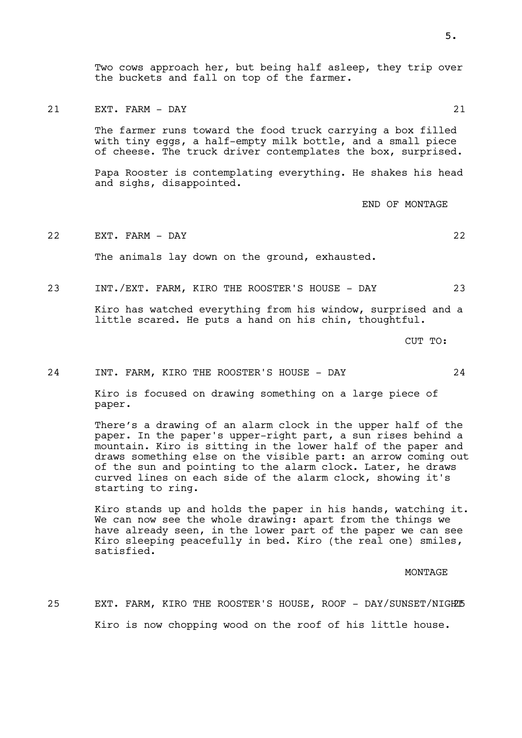Two cows approach her, but being half asleep, they trip over the buckets and fall on top of the farmer.

21 EXT. FARM - DAY 21

The farmer runs toward the food truck carrying a box filled with tiny eggs, a half-empty milk bottle, and a small piece of cheese. The truck driver contemplates the box, surprised.

Papa Rooster is contemplating everything. He shakes his head and sighs, disappointed.

END OF MONTAGE

22 EXT. FARM - DAY 22 The animals lay down on the ground, exhausted.

23 INT./EXT. FARM, KIRO THE ROOSTER'S HOUSE - DAY 23

Kiro has watched everything from his window, surprised and a little scared. He puts a hand on his chin, thoughtful.

CUT TO:

24 INT. FARM, KIRO THE ROOSTER'S HOUSE - DAY 24

Kiro is focused on drawing something on a large piece of paper.

There's a drawing of an alarm clock in the upper half of the paper. In the paper's upper-right part, a sun rises behind a mountain. Kiro is sitting in the lower half of the paper and draws something else on the visible part: an arrow coming out of the sun and pointing to the alarm clock. Later, he draws curved lines on each side of the alarm clock, showing it's starting to ring.

Kiro stands up and holds the paper in his hands, watching it. We can now see the whole drawing: apart from the things we have already seen, in the lower part of the paper we can see Kiro sleeping peacefully in bed. Kiro (the real one) smiles, satisfied.

MONTAGE

25 EXT. FARM, KIRO THE ROOSTER'S HOUSE, ROOF - DAY/SUNSET/NIGHZE Kiro is now chopping wood on the roof of his little house.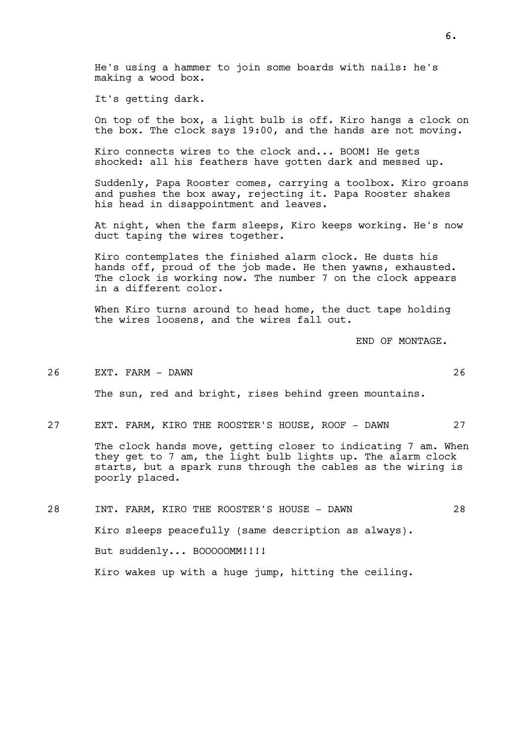He's using a hammer to join some boards with nails: he's making a wood box.

It's getting dark.

On top of the box, a light bulb is off. Kiro hangs a clock on the box. The clock says 19:00, and the hands are not moving.

Kiro connects wires to the clock and... BOOM! He gets shocked: all his feathers have gotten dark and messed up.

Suddenly, Papa Rooster comes, carrying a toolbox. Kiro groans and pushes the box away, rejecting it. Papa Rooster shakes his head in disappointment and leaves.

At night, when the farm sleeps, Kiro keeps working. He's now duct taping the wires together.

Kiro contemplates the finished alarm clock. He dusts his hands off, proud of the job made. He then yawns, exhausted. The clock is working now. The number 7 on the clock appears in a different color.

When Kiro turns around to head home, the duct tape holding the wires loosens, and the wires fall out.

END OF MONTAGE.

#### 26 EXT. FARM - DAWN 26

The sun, red and bright, rises behind green mountains.

27 EXT. FARM, KIRO THE ROOSTER'S HOUSE, ROOF - DAWN 27

The clock hands move, getting closer to indicating 7 am. When they get to 7 am, the light bulb lights up. The alarm clock starts, but a spark runs through the cables as the wiring is poorly placed.

28 INT. FARM, KIRO THE ROOSTER'S HOUSE - DAWN 28 Kiro sleeps peacefully (same description as always). But suddenly... BOOOOOMM!!!! Kiro wakes up with a huge jump, hitting the ceiling.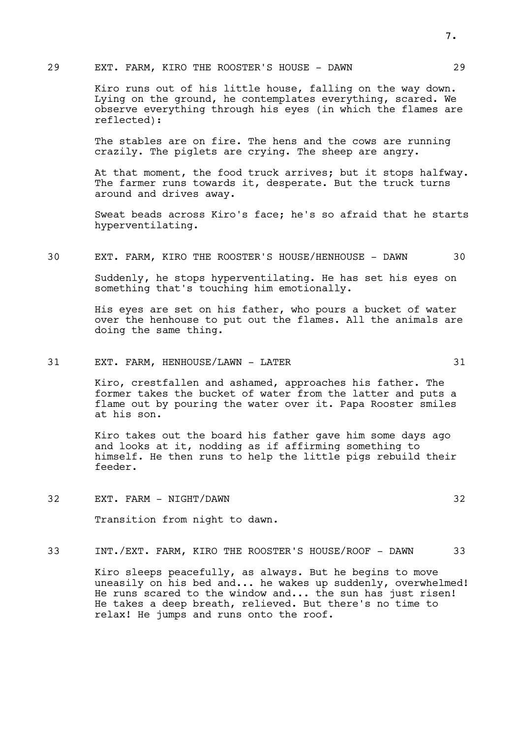## 29 EXT. FARM, KIRO THE ROOSTER'S HOUSE - DAWN 29

Kiro runs out of his little house, falling on the way down. Lying on the ground, he contemplates everything, scared. We observe everything through his eyes (in which the flames are reflected):

The stables are on fire. The hens and the cows are running crazily. The piglets are crying. The sheep are angry.

At that moment, the food truck arrives; but it stops halfway. The farmer runs towards it, desperate. But the truck turns around and drives away.

Sweat beads across Kiro's face; he's so afraid that he starts hyperventilating.

# 30 EXT. FARM, KIRO THE ROOSTER'S HOUSE/HENHOUSE - DAWN 30

Suddenly, he stops hyperventilating. He has set his eyes on something that's touching him emotionally.

His eyes are set on his father, who pours a bucket of water over the henhouse to put out the flames. All the animals are doing the same thing.

## 31 EXT. FARM, HENHOUSE/LAWN - LATER 31

Kiro, crestfallen and ashamed, approaches his father. The former takes the bucket of water from the latter and puts a flame out by pouring the water over it. Papa Rooster smiles at his son.

Kiro takes out the board his father gave him some days ago and looks at it, nodding as if affirming something to himself. He then runs to help the little pigs rebuild their feeder.

32 EXT. FARM - NIGHT/DAWN 32

Transition from night to dawn.

## 33 INT./EXT. FARM, KIRO THE ROOSTER'S HOUSE/ROOF - DAWN 33

Kiro sleeps peacefully, as always. But he begins to move uneasily on his bed and... he wakes up suddenly, overwhelmed! He runs scared to the window and... the sun has just risen! He takes a deep breath, relieved. But there's no time to relax! He jumps and runs onto the roof.